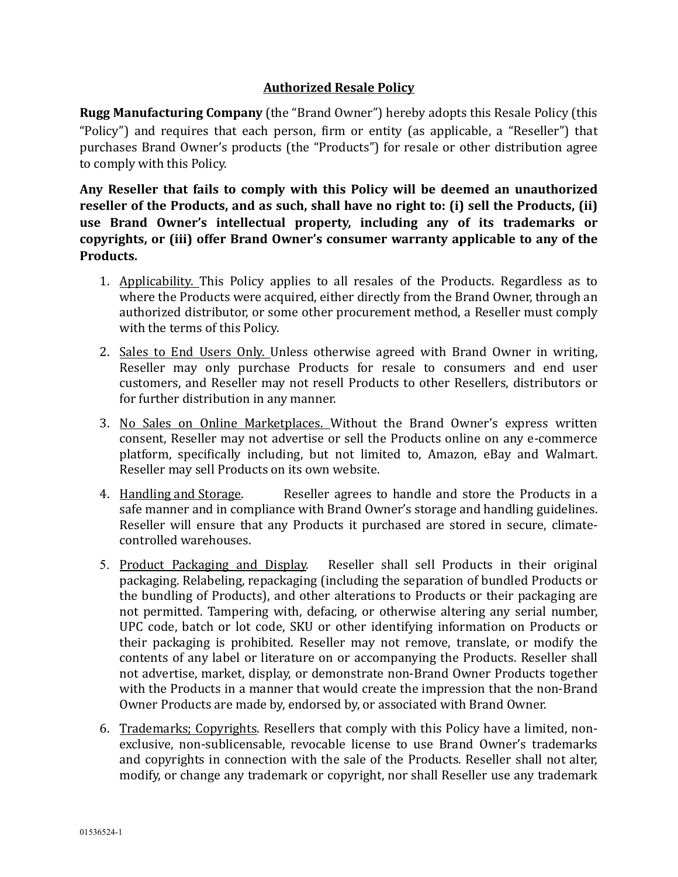## **Authorized Resale Policy**

**Rugg Manufacturing Company** (the "Brand Owner") hereby adopts this Resale Policy (this "Policy") and requires that each person, firm or entity (as applicable, a "Reseller") that purchases Brand Owner's products (the "Products") for resale or other distribution agree to comply with this Policy.

Any Reseller that fails to comply with this Policy will be deemed an unauthorized reseller of the Products, and as such, shall have no right to: (i) sell the Products, (ii) use Brand Owner's intellectual property, including any of its trademarks or copyrights, or (iii) offer Brand Owner's consumer warranty applicable to any of the **Products.** 

- 1. Applicability. This Policy applies to all resales of the Products. Regardless as to where the Products were acquired, either directly from the Brand Owner, through an authorized distributor, or some other procurement method, a Reseller must comply with the terms of this Policy.
- 2. Sales to End Users Only. Unless otherwise agreed with Brand Owner in writing, Reseller may only purchase Products for resale to consumers and end user customers, and Reseller may not resell Products to other Resellers, distributors or for further distribution in any manner.
- 3. No Sales on Online Marketplaces. Without the Brand Owner's express written consent, Reseller may not advertise or sell the Products online on any e-commerce platform, specifically including, but not limited to, Amazon, eBay and Walmart. Reseller may sell Products on its own website.
- 4. Handling and Storage. Beseller agrees to handle and store the Products in a safe manner and in compliance with Brand Owner's storage and handling guidelines. Reseller will ensure that any Products it purchased are stored in secure, climatecontrolled warehouses.
- 5. Product Packaging and Display. Reseller shall sell Products in their original packaging. Relabeling, repackaging (including the separation of bundled Products or the bundling of Products), and other alterations to Products or their packaging are not permitted. Tampering with, defacing, or otherwise altering any serial number, UPC code, batch or lot code, SKU or other identifying information on Products or their packaging is prohibited. Reseller may not remove, translate, or modify the contents of any label or literature on or accompanying the Products. Reseller shall not advertise, market, display, or demonstrate non-Brand Owner Products together with the Products in a manner that would create the impression that the non-Brand Owner Products are made by, endorsed by, or associated with Brand Owner.
- 6. Trademarks; Copyrights. Resellers that comply with this Policy have a limited, nonexclusive, non-sublicensable, revocable license to use Brand Owner's trademarks and copyrights in connection with the sale of the Products. Reseller shall not alter, modify, or change any trademark or copyright, nor shall Reseller use any trademark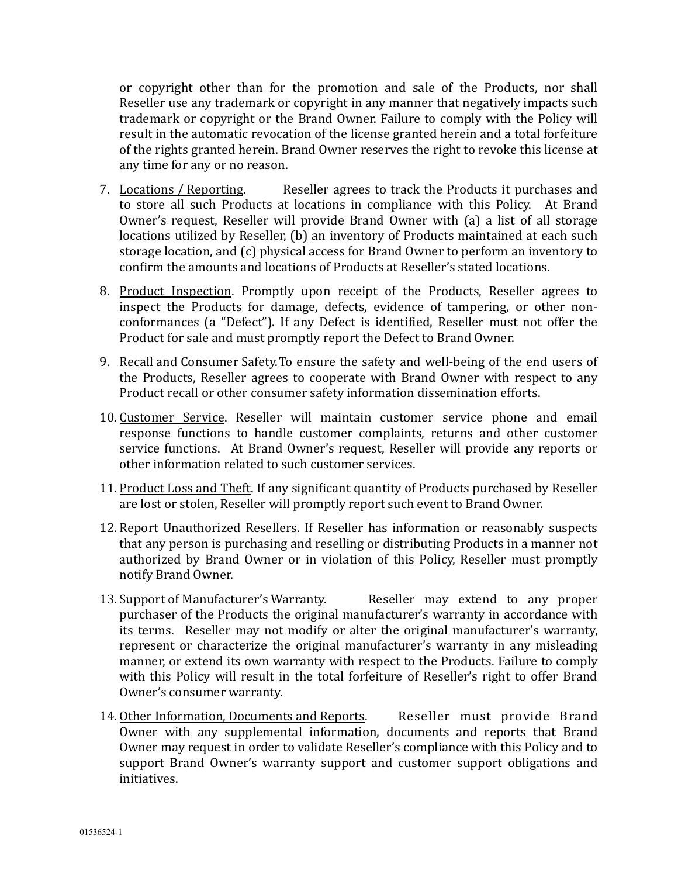or copyright other than for the promotion and sale of the Products, nor shall Reseller use any trademark or copyright in any manner that negatively impacts such trademark or copyright or the Brand Owner. Failure to comply with the Policy will result in the automatic revocation of the license granted herein and a total forfeiture of the rights granted herein. Brand Owner reserves the right to revoke this license at any time for any or no reason.

- 7. Locations / Reporting. Beseller agrees to track the Products it purchases and to store all such Products at locations in compliance with this Policy. At Brand Owner's request, Reseller will provide Brand Owner with (a) a list of all storage locations utilized by Reseller, (b) an inventory of Products maintained at each such storage location, and (c) physical access for Brand Owner to perform an inventory to confirm the amounts and locations of Products at Reseller's stated locations.
- 8. Product Inspection. Promptly upon receipt of the Products, Reseller agrees to inspect the Products for damage, defects, evidence of tampering, or other nonconformances (a "Defect"). If any Defect is identified, Reseller must not offer the Product for sale and must promptly report the Defect to Brand Owner.
- 9. Recall and Consumer Safety. To ensure the safety and well-being of the end users of the Products, Reseller agrees to cooperate with Brand Owner with respect to any Product recall or other consumer safety information dissemination efforts.
- 10. Customer Service. Reseller will maintain customer service phone and email response functions to handle customer complaints, returns and other customer service functions. At Brand Owner's request, Reseller will provide any reports or other information related to such customer services.
- 11. Product Loss and Theft. If any significant quantity of Products purchased by Reseller are lost or stolen, Reseller will promptly report such event to Brand Owner.
- 12. Report Unauthorized Resellers. If Reseller has information or reasonably suspects that any person is purchasing and reselling or distributing Products in a manner not authorized by Brand Owner or in violation of this Policy, Reseller must promptly notify Brand Owner.
- 13. Support of Manufacturer's Warranty. The Reseller may extend to any proper purchaser of the Products the original manufacturer's warranty in accordance with its terms. Reseller may not modify or alter the original manufacturer's warranty, represent or characterize the original manufacturer's warranty in any misleading manner, or extend its own warranty with respect to the Products. Failure to comply with this Policy will result in the total forfeiture of Reseller's right to offer Brand Owner's consumer warranty.
- 14. Other Information, Documents and Reports. Reseller must provide Brand Owner with any supplemental information, documents and reports that Brand Owner may request in order to validate Reseller's compliance with this Policy and to support Brand Owner's warranty support and customer support obligations and initiatives.